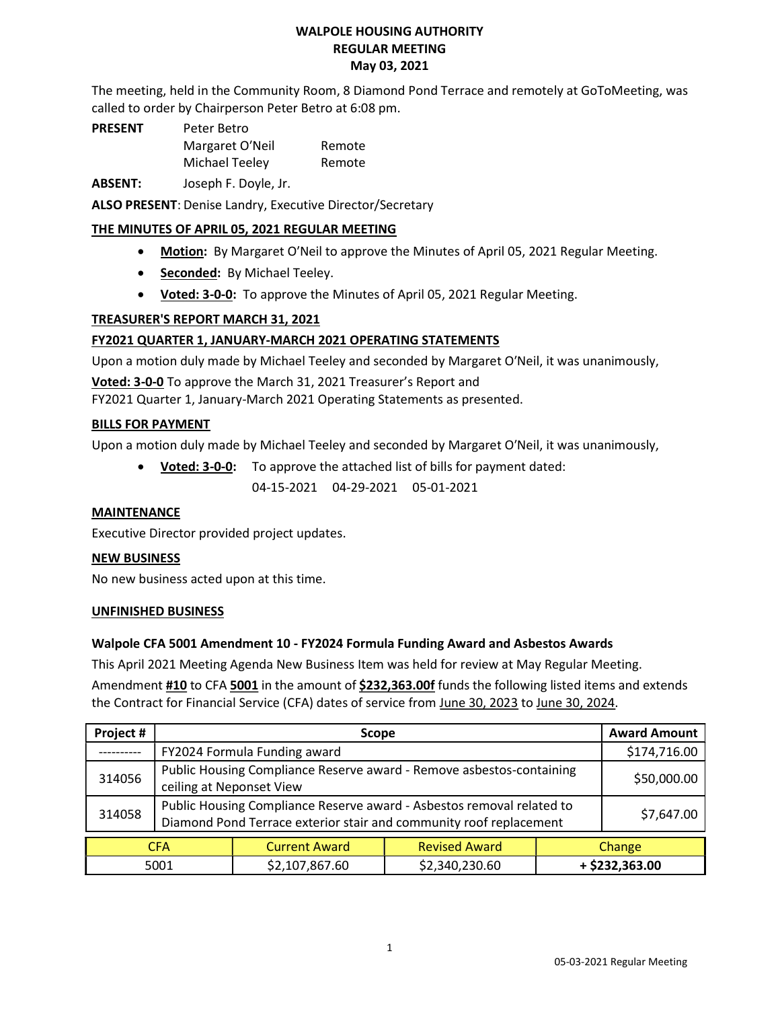## WALPOLE HOUSING AUTHORITY REGULAR MEETING May 03, 2021

The meeting, held in the Community Room, 8 Diamond Pond Terrace and remotely at GoToMeeting, was called to order by Chairperson Peter Betro at 6:08 pm.

PRESENT Peter Betro Margaret O′Neil Remote Michael Teeley Remote

ABSENT: Joseph F. Doyle, Jr.

ALSO PRESENT: Denise Landry, Executive Director/Secretary

# THE MINUTES OF APRIL 05, 2021 REGULAR MEETING

- Motion: By Margaret O'Neil to approve the Minutes of April 05, 2021 Regular Meeting.
- Seconded: By Michael Teeley.
- Voted: 3-0-0: To approve the Minutes of April 05, 2021 Regular Meeting.

## TREASURER'S REPORT MARCH 31, 2021

# FY2021 QUARTER 1, JANUARY-MARCH 2021 OPERATING STATEMENTS

Upon a motion duly made by Michael Teeley and seconded by Margaret O′Neil, it was unanimously,

Voted: 3-0-0 To approve the March 31, 2021 Treasurer's Report and

FY2021 Quarter 1, January-March 2021 Operating Statements as presented.

## BILLS FOR PAYMENT

Upon a motion duly made by Michael Teeley and seconded by Margaret O′Neil, it was unanimously,

Voted: 3-0-0: To approve the attached list of bills for payment dated:

04-15-2021 04-29-2021 05-01-2021

## MAINTENANCE

Executive Director provided project updates.

## NEW BUSINESS

No new business acted upon at this time.

## UNFINISHED BUSINESS

## Walpole CFA 5001 Amendment 10 - FY2024 Formula Funding Award and Asbestos Awards

This April 2021 Meeting Agenda New Business Item was held for review at May Regular Meeting.

Amendment #10 to CFA 5001 in the amount of \$232,363.00f funds the following listed items and extends the Contract for Financial Service (CFA) dates of service from June 30, 2023 to June 30, 2024.

| Project #  | <b>Scope</b>                                                                                                                                |                      |                      | <b>Award Amount</b> |             |
|------------|---------------------------------------------------------------------------------------------------------------------------------------------|----------------------|----------------------|---------------------|-------------|
| --------   | FY2024 Formula Funding award                                                                                                                |                      |                      | \$174,716.00        |             |
| 314056     | Public Housing Compliance Reserve award - Remove asbestos-containing<br>ceiling at Neponset View                                            |                      |                      |                     | \$50,000.00 |
| 314058     | Public Housing Compliance Reserve award - Asbestos removal related to<br>Diamond Pond Terrace exterior stair and community roof replacement |                      |                      |                     | \$7,647.00  |
| <b>CFA</b> |                                                                                                                                             | <b>Current Award</b> | <b>Revised Award</b> | Change              |             |
| 5001       |                                                                                                                                             | \$2,107,867.60       | \$2,340,230.60       | + \$232,363.00      |             |